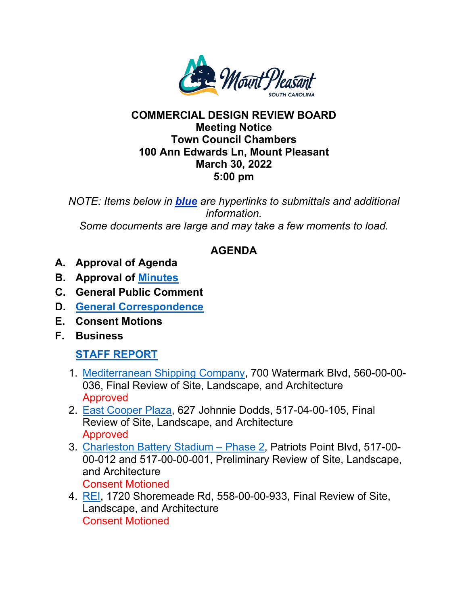

## **COMMERCIAL DESIGN REVIEW BOARD Meeting Notice Town Council Chambers 100 Ann Edwards Ln, Mount Pleasant March 30, 2022 5:00 pm**

*NOTE: Items below in blue are hyperlinks to submittals and additional information. Some documents are large and may take a few moments to load.* 

## **AGENDA**

- **A. Approval of Agenda**
- **B. Approval of [Minutes](https://www.tompsc.com/DocumentCenter/View/40969/Minutes-Placement-Holder)**
- **C. General Public Comment**
- **D. [General Correspondence](https://www.tompsc.com/DocumentCenter/View/41095/Correspondence-Combined)**
- **E. Consent Motions**
- **F. Business**

## **[STAFF REPORT](https://www.tompsc.com/DocumentCenter/View/41115/March-Staff-Report-002)**

- 1. [Mediterranean Shipping Company,](https://www.tompsc.com/DocumentCenter/View/40958/MSC-Final-Sub-33022) 700 Watermark Blvd, 560-00-00- 036, Final Review of Site, Landscape, and Architecture Approved
- 2. [East Cooper Plaza,](https://www.tompsc.com/DocumentCenter/View/41001/East-Cooper-Plaza-Sub-33022) 627 Johnnie Dodds, 517-04-00-105, Final Review of Site, Landscape, and Architecture Approved
- 3. [Charleston Battery](https://www.tompsc.com/DocumentCenter/View/40957/Charleston-Batter-Phase-2-Sub-33022) Stadium Phase 2, Patriots Point Blvd, 517-00- 00-012 and 517-00-00-001, Preliminary Review of Site, Landscape, and Architecture

Consent Motioned

4. [REI,](https://www.tompsc.com/DocumentCenter/View/40989/REI-Sub-33022) 1720 Shoremeade Rd, 558-00-00-933, Final Review of Site, Landscape, and Architecture Consent Motioned